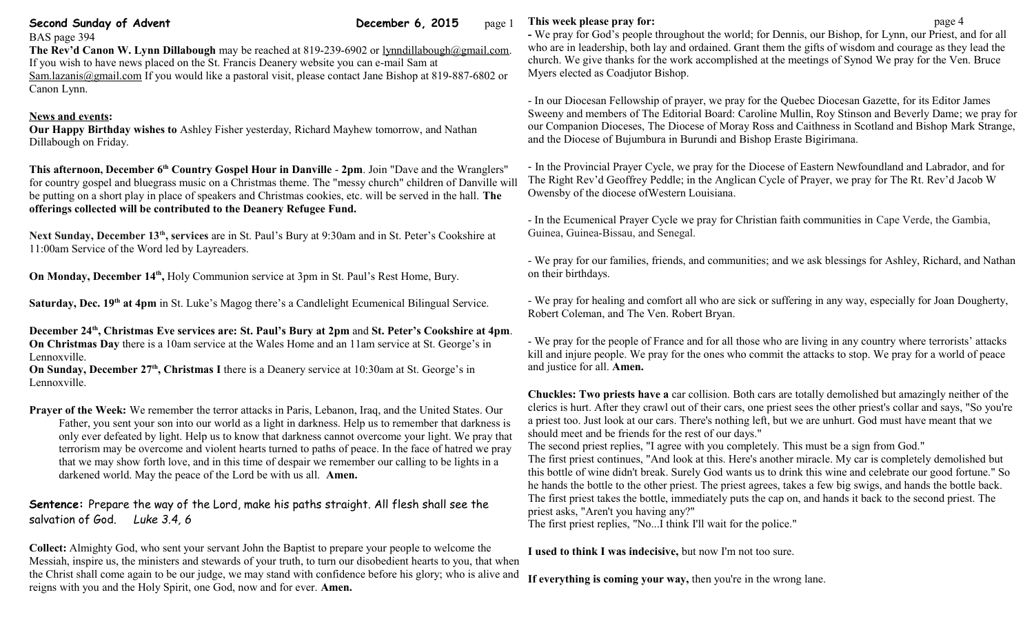## **Second Sunday of Advent Sunday of Advent Community Community Community December 6, 2015** page 1

BAS page 394

#### **The Rev'd Canon W. Lynn Dillabough** may be reached at 819-239-6902 or [lynndillabough@gmail.com.](mailto:lynndillabough@gmail.com) If you wish to have news placed on the St. Francis Deanery website you can e-mail Sam at [Sam.lazanis@gmail.com](mailto:Sam.lazanis@gmail.com) If you would like a pastoral visit, please contact Jane Bishop at 819-887-6802 or Canon Lynn.

## **News and events:**

**Our Happy Birthday wishes to** Ashley Fisher yesterday, Richard Mayhew tomorrow, and Nathan Dillabough on Friday.

**This afternoon, December 6th Country Gospel Hour in Danville** - **2pm**. Join "Dave and the Wranglers" for country gospel and bluegrass music on a Christmas theme. The "messy church" children of Danville will be putting on a short play in place of speakers and Christmas cookies, etc. will be served in the hall. **The offerings collected will be contributed to the Deanery Refugee Fund.**

**Next Sunday, December 13th, services** are in St. Paul's Bury at 9:30am and in St. Peter's Cookshire at 11:00am Service of the Word led by Layreaders.

On Monday, December 14<sup>th</sup>, Holy Communion service at 3pm in St. Paul's Rest Home, Bury.

**Saturday, Dec. 19th at 4pm** in St. Luke's Magog there's a Candlelight Ecumenical Bilingual Service.

**December 24th, Christmas Eve services are: St. Paul's Bury at 2pm** and **St. Peter's Cookshire at 4pm**. **On Christmas Day** there is a 10am service at the Wales Home and an 11am service at St. George's in Lennoxville.

**On Sunday, December 27th, Christmas I** there is a Deanery service at 10:30am at St. George's in Lennoxville.

**Prayer of the Week:** We remember the terror attacks in Paris, Lebanon, Iraq, and the United States. Our Father, you sent your son into our world as a light in darkness. Help us to remember that darkness is only ever defeated by light. Help us to know that darkness cannot overcome your light. We pray that terrorism may be overcome and violent hearts turned to paths of peace. In the face of hatred we pray that we may show forth love, and in this time of despair we remember our calling to be lights in a darkened world. May the peace of the Lord be with us all. **Amen.**

# **Sentence:** Prepare the way of the Lord, make his paths straight. All flesh shall see the salvation of God. *Luke 3.4, 6*

**Collect:** Almighty God, who sent your servant John the Baptist to prepare your people to welcome the Messiah, inspire us, the ministers and stewards of your truth, to turn our disobedient hearts to you, that when the Christ shall come again to be our judge, we may stand with confidence before his glory; who is alive and reigns with you and the Holy Spirit, one God, now and for ever. **Amen.**

## **This week please pray for: page 4**

**-** We pray for God's people throughout the world; for Dennis, our Bishop, for Lynn, our Priest, and for all who are in leadership, both lay and ordained. Grant them the gifts of wisdom and courage as they lead the church. We give thanks for the work accomplished at the meetings of Synod We pray for the Ven. Bruce Myers elected as Coadjutor Bishop.

- In our Diocesan Fellowship of prayer, we pray for the Quebec Diocesan Gazette, for its Editor James Sweeny and members of The Editorial Board: Caroline Mullin, Roy Stinson and Beverly Dame; we pray for our Companion Dioceses, The Diocese of Moray Ross and Caithness in Scotland and Bishop Mark Strange, and the Diocese of Bujumbura in Burundi and Bishop Eraste Bigirimana.

- In the Provincial Prayer Cycle, we pray for the Diocese of Eastern Newfoundland and Labrador, and for The Right Rev'd Geoffrey Peddle; in the Anglican Cycle of Prayer, we pray for The Rt. Rev'd Jacob W Owensby of the diocese ofWestern Louisiana.

- In the Ecumenical Prayer Cycle we pray for Christian faith communities in Cape Verde, the Gambia, Guinea, Guinea-Bissau, and Senegal.

- We pray for our families, friends, and communities; and we ask blessings for Ashley, Richard, and Nathan on their birthdays.

- We pray for healing and comfort all who are sick or suffering in any way, especially for Joan Dougherty, Robert Coleman, and The Ven. Robert Bryan.

- We pray for the people of France and for all those who are living in any country where terrorists' attacks kill and injure people. We pray for the ones who commit the attacks to stop. We pray for a world of peace and justice for all. **Amen.**

**Chuckles: Two priests have a** car collision. Both cars are totally demolished but amazingly neither of the clerics is hurt. After they crawl out of their cars, one priest sees the other priest's collar and says, "So you're a priest too. Just look at our cars. There's nothing left, but we are unhurt. God must have meant that we should meet and be friends for the rest of our days."

The second priest replies, "I agree with you completely. This must be a sign from God." The first priest continues, "And look at this. Here's another miracle. My car is completely demolished but this bottle of wine didn't break. Surely God wants us to drink this wine and celebrate our good fortune." So he hands the bottle to the other priest. The priest agrees, takes a few big swigs, and hands the bottle back. The first priest takes the bottle, immediately puts the cap on, and hands it back to the second priest. The priest asks, "Aren't you having any?"

The first priest replies, "No...I think I'll wait for the police."

**I used to think I was indecisive,** but now I'm not too sure.

**If everything is coming your way,** then you're in the wrong lane.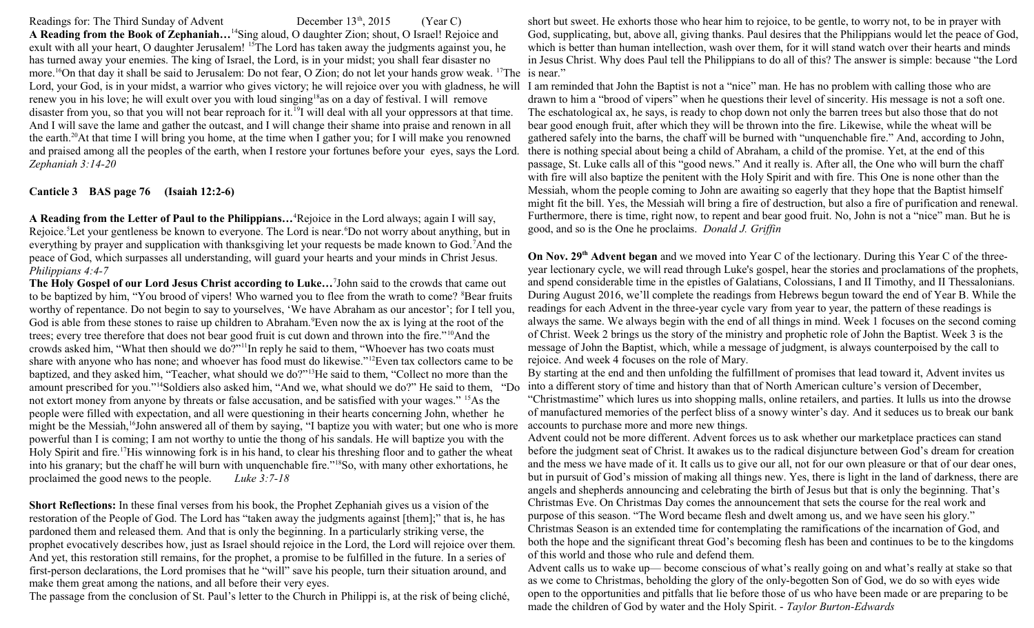Readings for: The Third Sunday of Advent December  $13<sup>th</sup>$ , 2015 (Year C) **A Reading from the Book of Zephaniah…**<sup>14</sup>Sing aloud, O daughter Zion; shout, O Israel! Rejoice and exult with all your heart, O daughter Jerusalem! <sup>15</sup>The Lord has taken away the judgments against you, he has turned away your enemies. The king of Israel, the Lord, is in your midst; you shall fear disaster no more.<sup>16</sup>On that day it shall be said to Jerusalem: Do not fear, O Zion; do not let your hands grow weak. <sup>17</sup>The is near." Lord, your God, is in your midst, a warrior who gives victory; he will rejoice over you with gladness, he will I am reminded that John the Baptist is not a "nice" man. He has no problem with calling those who are renew you in his love; he will exult over you with loud singing<sup>18</sup>as on a day of festival. I will remove disaster from you, so that you will not bear reproach for it.<sup>19</sup>I will deal with all your oppressors at that time. And I will save the lame and gather the outcast, and I will change their shame into praise and renown in all the earth.<sup>20</sup>At that time I will bring you home, at the time when I gather you; for I will make you renowned and praised among all the peoples of the earth, when I restore your fortunes before your eyes, says the Lord. *Zephaniah 3:14-20*

#### **Canticle 3 BAS page 76 (Isaiah 12:2-6)**

**A Reading from the Letter of Paul to the Philippians…**<sup>4</sup>Rejoice in the Lord always; again I will say, Rejoice.<sup>5</sup>Let your gentleness be known to everyone. The Lord is near.<sup>6</sup>Do not worry about anything, but in everything by prayer and supplication with thanksgiving let your requests be made known to God.<sup>7</sup>And the peace of God, which surpasses all understanding, will guard your hearts and your minds in Christ Jesus. *Philippians 4:4-7* 

**The Holy Gospel of our Lord Jesus Christ according to Luke…**<sup>7</sup> John said to the crowds that came out to be baptized by him, "You brood of vipers! Who warned you to flee from the wrath to come? <sup>8</sup>Bear fruits worthy of repentance. Do not begin to say to yourselves, 'We have Abraham as our ancestor'; for I tell you, God is able from these stones to raise up children to Abraham. Even now the ax is lying at the root of the trees; every tree therefore that does not bear good fruit is cut down and thrown into the fire."<sup>10</sup>And the crowds asked him, "What then should we do?"<sup>11</sup>In reply he said to them, "Whoever has two coats must share with anyone who has none; and whoever has food must do likewise."<sup>12</sup>Even tax collectors came to be baptized, and they asked him, "Teacher, what should we do?"<sup>13</sup>He said to them, "Collect no more than the amount prescribed for you."<sup>14</sup>Soldiers also asked him, "And we, what should we do?" He said to them, "Do not extort money from anyone by threats or false accusation, and be satisfied with your wages." <sup>15</sup>As the people were filled with expectation, and all were questioning in their hearts concerning John, whether he might be the Messiah,<sup>16</sup>John answered all of them by saying, "I baptize you with water; but one who is more powerful than I is coming; I am not worthy to untie the thong of his sandals. He will baptize you with the Holy Spirit and fire.<sup>17</sup>His winnowing fork is in his hand, to clear his threshing floor and to gather the wheat into his granary; but the chaff he will burn with unquenchable fire."<sup>18</sup>So, with many other exhortations, he proclaimed the good news to the people. *Luke 3:7-18* 

**Short Reflections:** In these final verses from his book, the Prophet Zephaniah gives us a vision of the restoration of the People of God. The Lord has "taken away the judgments against [them];" that is, he has pardoned them and released them. And that is only the beginning. In a particularly striking verse, the prophet evocatively describes how, just as Israel should rejoice in the Lord, the Lord will rejoice over them. And yet, this restoration still remains, for the prophet, a promise to be fulfilled in the future. In a series of first-person declarations, the Lord promises that he "will" save his people, turn their situation around, and make them great among the nations, and all before their very eyes.

The passage from the conclusion of St. Paul's letter to the Church in Philippi is, at the risk of being cliché,

short but sweet. He exhorts those who hear him to rejoice, to be gentle, to worry not, to be in prayer with God, supplicating, but, above all, giving thanks. Paul desires that the Philippians would let the peace of God, which is better than human intellection, wash over them, for it will stand watch over their hearts and minds in Jesus Christ. Why does Paul tell the Philippians to do all of this? The answer is simple: because "the Lord

drawn to him a "brood of vipers" when he questions their level of sincerity. His message is not a soft one. The eschatological ax, he says, is ready to chop down not only the barren trees but also those that do not bear good enough fruit, after which they will be thrown into the fire. Likewise, while the wheat will be gathered safely into the barns, the chaff will be burned with "unquenchable fire." And, according to John, there is nothing special about being a child of Abraham, a child of the promise. Yet, at the end of this passage, St. Luke calls all of this "good news." And it really is. After all, the One who will burn the chaff with fire will also baptize the penitent with the Holy Spirit and with fire. This One is none other than the Messiah, whom the people coming to John are awaiting so eagerly that they hope that the Baptist himself might fit the bill. Yes, the Messiah will bring a fire of destruction, but also a fire of purification and renewal. Furthermore, there is time, right now, to repent and bear good fruit. No, John is not a "nice" man. But he is good, and so is the One he proclaims. *Donald J. Griffin*

**On Nov. 29th Advent began** and we moved into Year C of the lectionary. During this Year C of the threeyear lectionary cycle, we will read through Luke's gospel, hear the stories and proclamations of the prophets, and spend considerable time in the epistles of Galatians, Colossians, I and II Timothy, and II Thessalonians. During August 2016, we'll complete the readings from Hebrews begun toward the end of Year B. While the readings for each Advent in the three-year cycle vary from year to year, the pattern of these readings is always the same. We always begin with the end of all things in mind. Week 1 focuses on the second coming of Christ. Week 2 brings us the story of the ministry and prophetic role of John the Baptist. Week 3 is the message of John the Baptist, which, while a message of judgment, is always counterpoised by the call to rejoice. And week 4 focuses on the role of Mary.

By starting at the end and then unfolding the fulfillment of promises that lead toward it, Advent invites us into a different story of time and history than that of North American culture's version of December,

"Christmastime" which lures us into shopping malls, online retailers, and parties. It lulls us into the drowse of manufactured memories of the perfect bliss of a snowy winter's day. And it seduces us to break our bank accounts to purchase more and more new things.

Advent could not be more different. Advent forces us to ask whether our marketplace practices can stand before the judgment seat of Christ. It awakes us to the radical disjuncture between God's dream for creation and the mess we have made of it. It calls us to give our all, not for our own pleasure or that of our dear ones, but in pursuit of God's mission of making all things new. Yes, there is light in the land of darkness, there are angels and shepherds announcing and celebrating the birth of Jesus but that is only the beginning. That's Christmas Eve. On Christmas Day comes the announcement that sets the course for the real work and purpose of this season. "The Word became flesh and dwelt among us, and we have seen his glory." Christmas Season is an extended time for contemplating the ramifications of the incarnation of God, and both the hope and the significant threat God's becoming flesh has been and continues to be to the kingdoms of this world and those who rule and defend them.

Advent calls us to wake up— become conscious of what's really going on and what's really at stake so that as we come to Christmas, beholding the glory of the only-begotten Son of God, we do so with eyes wide open to the opportunities and pitfalls that lie before those of us who have been made or are preparing to be made the children of God by water and the Holy Spirit. - *[Taylor Burton-Edwards](http://www.umcdiscipleship.org/resources/burton-edwards-taylor)*